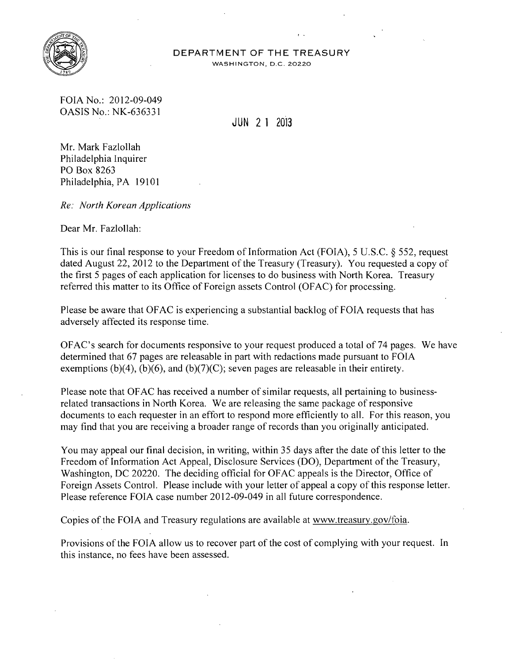

## DEPARTMENT OF THE TREASURY

WASHINGTON, D.C. 20220

FOIA No.: 2012-09-049 OASIS No.: NK-636331

JUN 2 1 <sup>2013</sup>

Mr. Mark Fazlollah Philadelphia Inquirer PO Box 8263 Philadelphia, PA 19101

*Re: North Korean Applications* 

Dear Mr. Fazlollah:

This is our tinal response to your Freedom of Information Act (FOIA), 5 U.S.C. § 552, request dated August 22, 2012 to the Department of the Treasury (Treasury). You requested a copy of the first 5 pages of each application for licenses to do business with North Korea. Treasury referred this matter to its Office of Foreign assets Control (OFAC) for processing.

Please be aware that OFAC is experiencing a substantial backlog of FOIA requests that has adversely affected its response time.

OFAC's search for documents responsive to your request produced a total of 74 pages. We have determined that 67 pages are releasable in part with redactions made pursuant to FOIA exemptions (b)(4), (b)(6), and (b)(7)(C); seven pages are releasable in their entirety.

Please note that OF AC has received a number of similar requests, all pertaining to businessrelated transactions in North Korea. We are releasing the same package of responsive documents to each requester in an effort to respond more efficiently to all. For this reason, you may find that you are receiving a broader range of records than you originally anticipated.

You may appeal our final decision, in writing, within 35 days after the date of this letter to the Freedom of Information Act Appeal, Disclosure Services (DO), Department of the Treasury, Washington, DC 20220. The deciding official for OFAC appeals is the Director, Office of Foreign Assets Control. Please include with your letter of appeal a copy of this response letter. Please reference FOIA case number 2012-09-049 in all future correspondence.

Copies of the FOIA and Treasury regulations are available at www.treasury.gov/foia.

Provisions of the FOIA allow us to recover part of the cost of complying with your request. In this instance, no fees have been assessed.